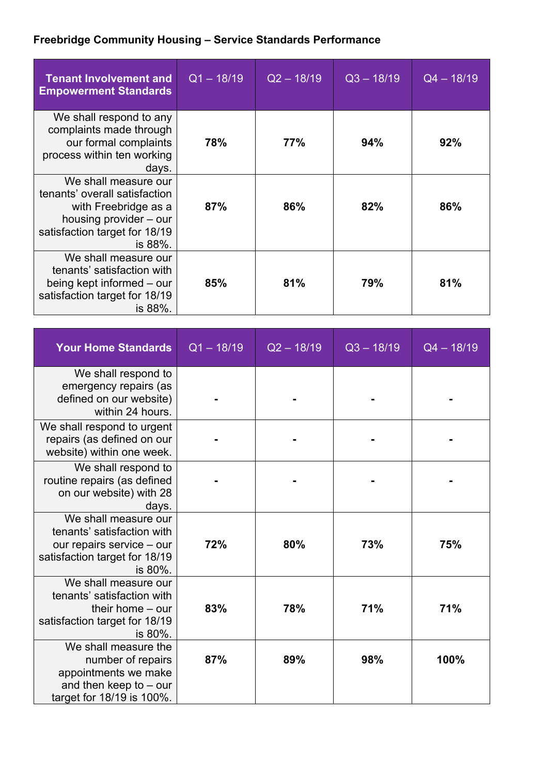## **Freebridge Community Housing – Service Standards Performance**

| <b>Tenant Involvement and</b><br><b>Empowerment Standards</b>                                                                                       | $Q1 - 18/19$ | $Q2 - 18/19$ | $Q3 - 18/19$ | $Q4 - 18/19$ |
|-----------------------------------------------------------------------------------------------------------------------------------------------------|--------------|--------------|--------------|--------------|
| We shall respond to any<br>complaints made through<br>our formal complaints<br>process within ten working<br>days.                                  | 78%          | 77%          | 94%          | 92%          |
| We shall measure our<br>tenants' overall satisfaction<br>with Freebridge as a<br>housing provider – our<br>satisfaction target for 18/19<br>is 88%. | 87%          | 86%          | 82%          | 86%          |
| We shall measure our<br>tenants' satisfaction with<br>being kept informed – our<br>satisfaction target for 18/19<br>is 88%.                         | 85%          | 81%          | 79%          | 81%          |

| <b>Your Home Standards</b>                                                                                                  | $Q1 - 18/19$ | $Q2 - 18/19$ | $Q3 - 18/19$ | $Q4 - 18/19$ |
|-----------------------------------------------------------------------------------------------------------------------------|--------------|--------------|--------------|--------------|
| We shall respond to<br>emergency repairs (as<br>defined on our website)<br>within 24 hours.                                 |              |              |              |              |
| We shall respond to urgent<br>repairs (as defined on our<br>website) within one week.                                       |              |              |              |              |
| We shall respond to<br>routine repairs (as defined<br>on our website) with 28<br>days.                                      |              |              |              |              |
| We shall measure our<br>tenants' satisfaction with<br>our repairs service - our<br>satisfaction target for 18/19<br>is 80%. | 72%          | 80%          | 73%          | 75%          |
| We shall measure our<br>tenants' satisfaction with<br>their home $-$ our<br>satisfaction target for 18/19<br>is $80\%$ .    | 83%          | 78%          | 71%          | 71%          |
| We shall measure the<br>number of repairs<br>appointments we make<br>and then keep to $-$ our<br>target for 18/19 is 100%.  | 87%          | 89%          | 98%          | 100%         |